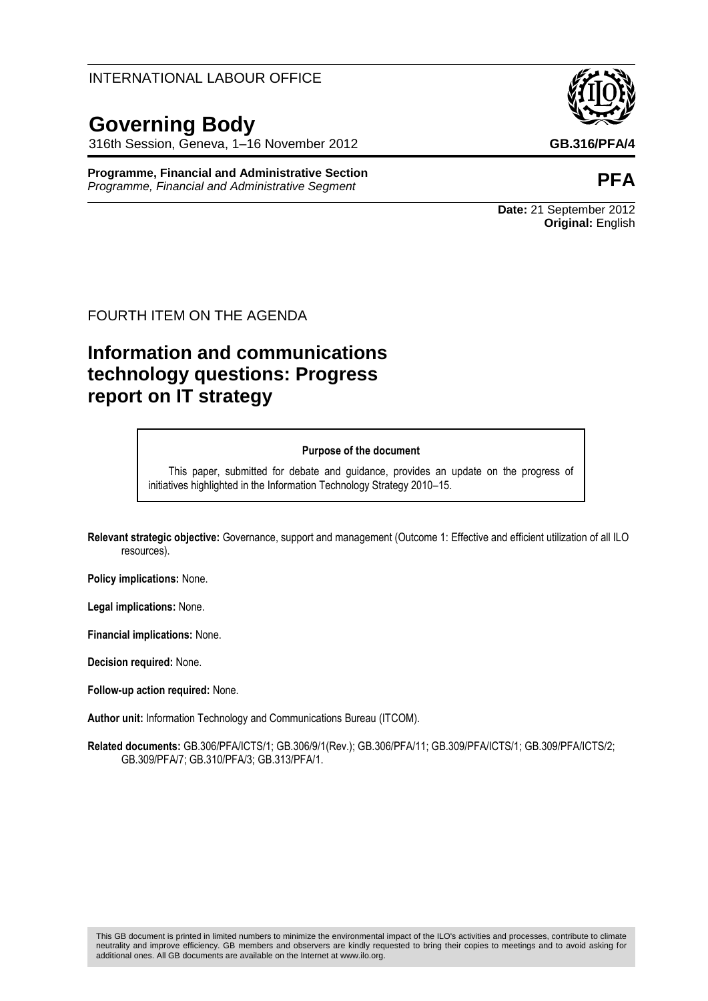#### This GB document is printed in limited numbers to minimize the environmental impact of the ILO's activities and processes, contribute to climate neutrality and improve efficiency. GB members and observers are kindly requested to bring their copies to meetings and to avoid asking for additional ones. All GB documents are available on the Internet at www.ilo.org.

#### INTERNATIONAL LABOUR OFFICE

# **Governing Body**

316th Session, Geneva, 1–16 November 2012 **GB.316/PFA/4**

**Programme, Financial and Administrative Section Programme, Financial and Administrative Section**<br>Programme, Financial and Administrative Segment

#### FOURTH ITEM ON THE AGENDA

# **Information and communications technology questions: Progress report on IT strategy**

#### **Purpose of the document**

This paper, submitted for debate and guidance, provides an update on the progress of initiatives highlighted in the Information Technology Strategy 2010–15.

**Relevant strategic objective:** Governance, support and management (Outcome 1: Effective and efficient utilization of all ILO resources).

**Policy implications:** None.

**Legal implications:** None.

**Financial implications:** None.

**Decision required:** None.

**Follow-up action required:** None.

**Author unit:** Information Technology and Communications Bureau (ITCOM).

**Related documents:** GB.306/PFA/ICTS/1; GB.306/9/1(Rev.); GB.306/PFA/11; GB.309/PFA/ICTS/1; GB.309/PFA/ICTS/2; GB.309/PFA/7; GB.310/PFA/3; GB.313/PFA/1.





**Date:** 21 September 2012 **Original:** English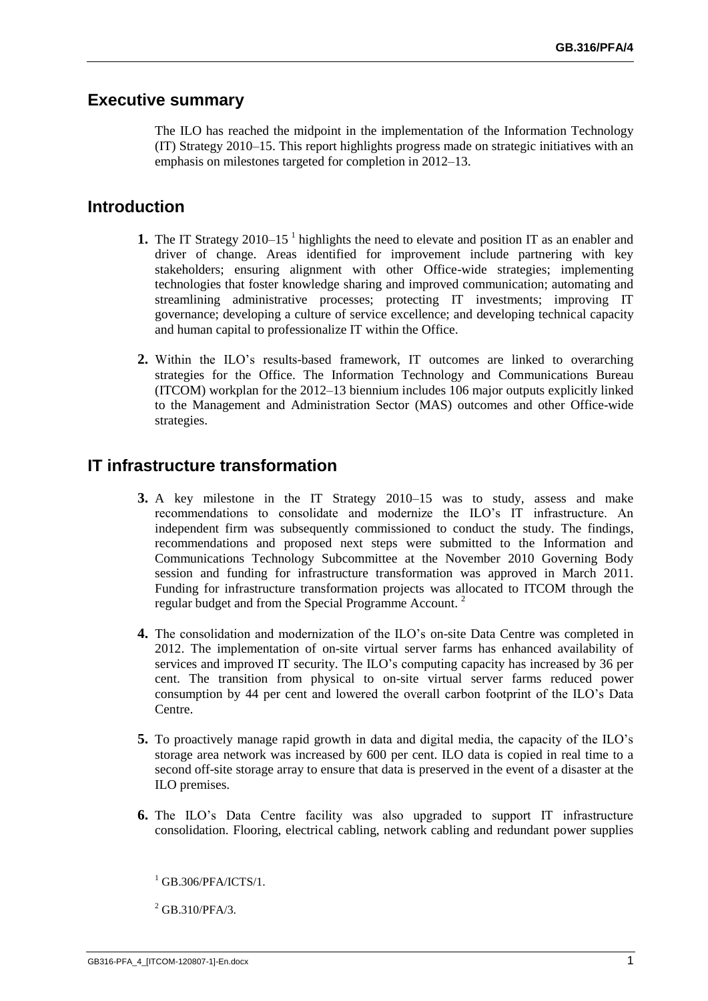#### **Executive summary**

The ILO has reached the midpoint in the implementation of the Information Technology (IT) Strategy 2010–15. This report highlights progress made on strategic initiatives with an emphasis on milestones targeted for completion in 2012–13.

# **Introduction**

- **1.** The IT Strategy 2010–15<sup>1</sup> highlights the need to elevate and position IT as an enabler and driver of change. Areas identified for improvement include partnering with key stakeholders; ensuring alignment with other Office-wide strategies; implementing technologies that foster knowledge sharing and improved communication; automating and streamlining administrative processes; protecting IT investments; improving IT governance; developing a culture of service excellence; and developing technical capacity and human capital to professionalize IT within the Office.
- **2.** Within the ILO's results-based framework, IT outcomes are linked to overarching strategies for the Office. The Information Technology and Communications Bureau (ITCOM) workplan for the 2012–13 biennium includes 106 major outputs explicitly linked to the Management and Administration Sector (MAS) outcomes and other Office-wide strategies.

### **IT infrastructure transformation**

- **3.** A key milestone in the IT Strategy 2010–15 was to study, assess and make recommendations to consolidate and modernize the ILO's IT infrastructure. An independent firm was subsequently commissioned to conduct the study. The findings, recommendations and proposed next steps were submitted to the Information and Communications Technology Subcommittee at the November 2010 Governing Body session and funding for infrastructure transformation was approved in March 2011. Funding for infrastructure transformation projects was allocated to ITCOM through the regular budget and from the Special Programme Account.<sup>2</sup>
- **4.** The consolidation and modernization of the ILO's on-site Data Centre was completed in 2012. The implementation of on-site virtual server farms has enhanced availability of services and improved IT security. The ILO's computing capacity has increased by 36 per cent. The transition from physical to on-site virtual server farms reduced power consumption by 44 per cent and lowered the overall carbon footprint of the ILO's Data Centre.
- **5.** To proactively manage rapid growth in data and digital media, the capacity of the ILO's storage area network was increased by 600 per cent. ILO data is copied in real time to a second off-site storage array to ensure that data is preserved in the event of a disaster at the ILO premises.
- **6.** The ILO's Data Centre facility was also upgraded to support IT infrastructure consolidation. Flooring, electrical cabling, network cabling and redundant power supplies

<sup>2</sup> GB.310/PFA/3.

 $1$  GB.306/PFA/ICTS/1.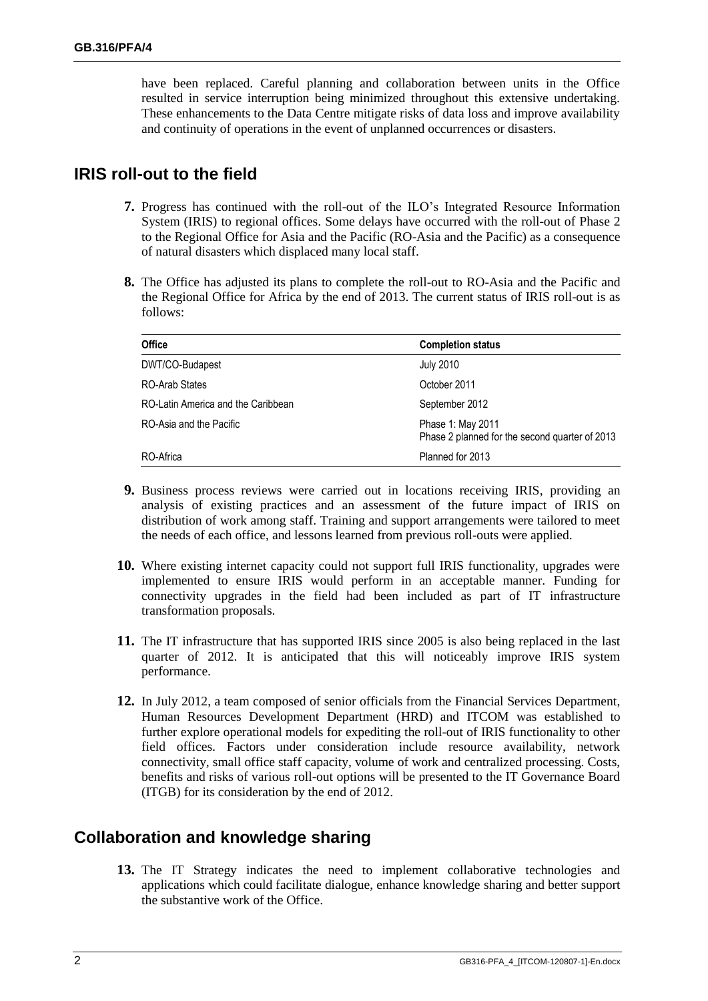have been replaced. Careful planning and collaboration between units in the Office resulted in service interruption being minimized throughout this extensive undertaking. These enhancements to the Data Centre mitigate risks of data loss and improve availability and continuity of operations in the event of unplanned occurrences or disasters.

## **IRIS roll-out to the field**

- **7.** Progress has continued with the roll-out of the ILO's Integrated Resource Information System (IRIS) to regional offices. Some delays have occurred with the roll-out of Phase 2 to the Regional Office for Asia and the Pacific (RO-Asia and the Pacific) as a consequence of natural disasters which displaced many local staff.
- **8.** The Office has adjusted its plans to complete the roll-out to RO-Asia and the Pacific and the Regional Office for Africa by the end of 2013. The current status of IRIS roll-out is as follows:

| <b>Office</b>                      | <b>Completion status</b>                                            |
|------------------------------------|---------------------------------------------------------------------|
| DWT/CO-Budapest                    | <b>July 2010</b>                                                    |
| <b>RO-Arab States</b>              | October 2011                                                        |
| RO-Latin America and the Caribbean | September 2012                                                      |
| RO-Asia and the Pacific            | Phase 1: May 2011<br>Phase 2 planned for the second quarter of 2013 |
| RO-Africa                          | Planned for 2013                                                    |

- **9.** Business process reviews were carried out in locations receiving IRIS, providing an analysis of existing practices and an assessment of the future impact of IRIS on distribution of work among staff. Training and support arrangements were tailored to meet the needs of each office, and lessons learned from previous roll-outs were applied.
- **10.** Where existing internet capacity could not support full IRIS functionality, upgrades were implemented to ensure IRIS would perform in an acceptable manner. Funding for connectivity upgrades in the field had been included as part of IT infrastructure transformation proposals.
- **11.** The IT infrastructure that has supported IRIS since 2005 is also being replaced in the last quarter of 2012. It is anticipated that this will noticeably improve IRIS system performance.
- **12.** In July 2012, a team composed of senior officials from the Financial Services Department, Human Resources Development Department (HRD) and ITCOM was established to further explore operational models for expediting the roll-out of IRIS functionality to other field offices. Factors under consideration include resource availability, network connectivity, small office staff capacity, volume of work and centralized processing. Costs, benefits and risks of various roll-out options will be presented to the IT Governance Board (ITGB) for its consideration by the end of 2012.

# **Collaboration and knowledge sharing**

**13.** The IT Strategy indicates the need to implement collaborative technologies and applications which could facilitate dialogue, enhance knowledge sharing and better support the substantive work of the Office.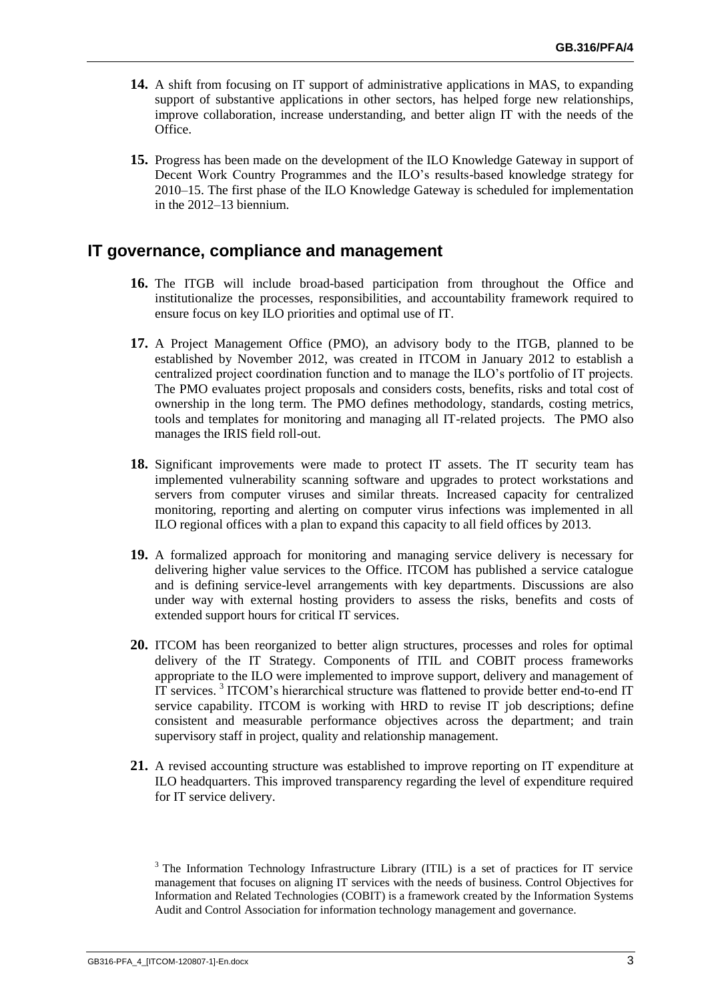- **14.** A shift from focusing on IT support of administrative applications in MAS, to expanding support of substantive applications in other sectors, has helped forge new relationships, improve collaboration, increase understanding, and better align IT with the needs of the Office.
- **15.** Progress has been made on the development of the ILO Knowledge Gateway in support of Decent Work Country Programmes and the ILO's results-based knowledge strategy for 2010–15. The first phase of the ILO Knowledge Gateway is scheduled for implementation in the 2012–13 biennium.

#### **IT governance, compliance and management**

- **16.** The ITGB will include broad-based participation from throughout the Office and institutionalize the processes, responsibilities, and accountability framework required to ensure focus on key ILO priorities and optimal use of IT.
- **17.** A Project Management Office (PMO), an advisory body to the ITGB, planned to be established by November 2012, was created in ITCOM in January 2012 to establish a centralized project coordination function and to manage the ILO's portfolio of IT projects. The PMO evaluates project proposals and considers costs, benefits, risks and total cost of ownership in the long term. The PMO defines methodology, standards, costing metrics, tools and templates for monitoring and managing all IT-related projects. The PMO also manages the IRIS field roll-out.
- **18.** Significant improvements were made to protect IT assets. The IT security team has implemented vulnerability scanning software and upgrades to protect workstations and servers from computer viruses and similar threats. Increased capacity for centralized monitoring, reporting and alerting on computer virus infections was implemented in all ILO regional offices with a plan to expand this capacity to all field offices by 2013.
- **19.** A formalized approach for monitoring and managing service delivery is necessary for delivering higher value services to the Office. ITCOM has published a service catalogue and is defining service-level arrangements with key departments. Discussions are also under way with external hosting providers to assess the risks, benefits and costs of extended support hours for critical IT services.
- **20.** ITCOM has been reorganized to better align structures, processes and roles for optimal delivery of the IT Strategy. Components of ITIL and COBIT process frameworks appropriate to the ILO were implemented to improve support, delivery and management of IT services.<sup>3</sup> ITCOM's hierarchical structure was flattened to provide better end-to-end IT service capability. ITCOM is working with HRD to revise IT job descriptions; define consistent and measurable performance objectives across the department; and train supervisory staff in project, quality and relationship management.
- **21.** A revised accounting structure was established to improve reporting on IT expenditure at ILO headquarters. This improved transparency regarding the level of expenditure required for IT service delivery.

<sup>&</sup>lt;sup>3</sup> The Information Technology Infrastructure Library (ITIL) is a set of practices for IT service management that focuses on aligning IT services with the needs of business. Control Objectives for Information and Related Technologies (COBIT) is a framework created by the Information Systems Audit and Control Association for information technology management and governance.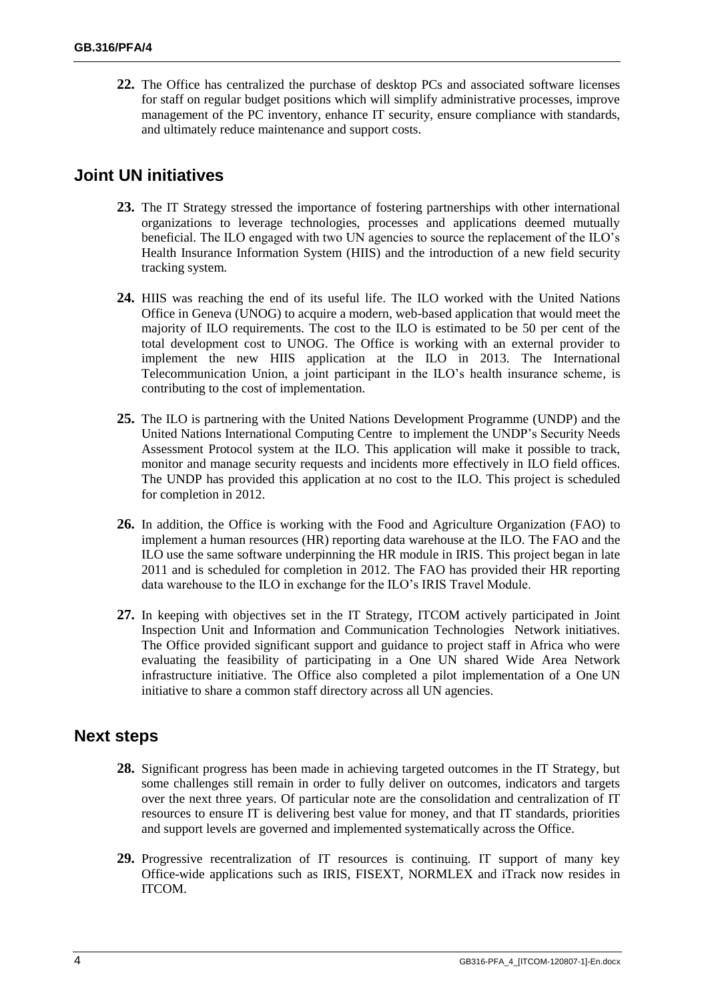**22.** The Office has centralized the purchase of desktop PCs and associated software licenses for staff on regular budget positions which will simplify administrative processes, improve management of the PC inventory, enhance IT security, ensure compliance with standards, and ultimately reduce maintenance and support costs.

# **Joint UN initiatives**

- **23.** The IT Strategy stressed the importance of fostering partnerships with other international organizations to leverage technologies, processes and applications deemed mutually beneficial. The ILO engaged with two UN agencies to source the replacement of the ILO's Health Insurance Information System (HIIS) and the introduction of a new field security tracking system.
- **24.** HIIS was reaching the end of its useful life. The ILO worked with the United Nations Office in Geneva (UNOG) to acquire a modern, web-based application that would meet the majority of ILO requirements. The cost to the ILO is estimated to be 50 per cent of the total development cost to UNOG. The Office is working with an external provider to implement the new HIIS application at the ILO in 2013. The International Telecommunication Union, a joint participant in the ILO's health insurance scheme, is contributing to the cost of implementation.
- **25.** The ILO is partnering with the United Nations Development Programme (UNDP) and the United Nations International Computing Centre to implement the UNDP's Security Needs Assessment Protocol system at the ILO. This application will make it possible to track, monitor and manage security requests and incidents more effectively in ILO field offices. The UNDP has provided this application at no cost to the ILO. This project is scheduled for completion in 2012.
- **26.** In addition, the Office is working with the Food and Agriculture Organization (FAO) to implement a human resources (HR) reporting data warehouse at the ILO. The FAO and the ILO use the same software underpinning the HR module in IRIS. This project began in late 2011 and is scheduled for completion in 2012. The FAO has provided their HR reporting data warehouse to the ILO in exchange for the ILO's IRIS Travel Module.
- **27.** In keeping with objectives set in the IT Strategy, ITCOM actively participated in Joint Inspection Unit and Information and Communication Technologies Network initiatives. The Office provided significant support and guidance to project staff in Africa who were evaluating the feasibility of participating in a One UN shared Wide Area Network infrastructure initiative. The Office also completed a pilot implementation of a One UN initiative to share a common staff directory across all UN agencies.

### **Next steps**

- **28.** Significant progress has been made in achieving targeted outcomes in the IT Strategy, but some challenges still remain in order to fully deliver on outcomes, indicators and targets over the next three years. Of particular note are the consolidation and centralization of IT resources to ensure IT is delivering best value for money, and that IT standards, priorities and support levels are governed and implemented systematically across the Office.
- **29.** Progressive recentralization of IT resources is continuing. IT support of many key Office-wide applications such as IRIS, FISEXT, NORMLEX and iTrack now resides in ITCOM.